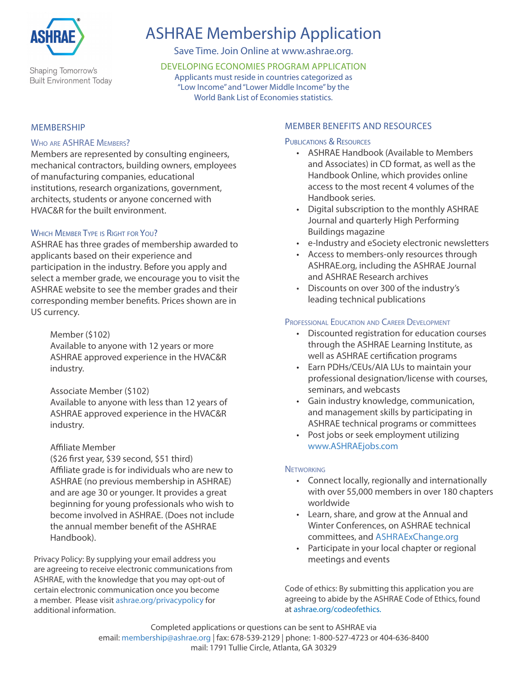

Shaping Tomorrow's **Built Environment Today** 

# ASHRAE Membership Application

Save Time. Join Online at www.ashrae.org.

DEVELOPING ECONOMIES PROGRAM APPLICATION Applicants must reside in countries categorized as "Low Income" and "Lower Middle Income" by the World Bank List of Economies statistics.

#### **MEMBERSHIP**

#### WHO ARE ASHRAE MEMBERS?

Members are represented by consulting engineers, mechanical contractors, building owners, employees of manufacturing companies, educational institutions, research organizations, government, architects, students or anyone concerned with HVAC&R for the built environment.

### WHICH MEMBER TYPE IS RIGHT FOR YOU?

ASHRAE has three grades of membership awarded to applicants based on their experience and participation in the industry. Before you apply and select a member grade, we encourage you to visit the ASHRAE website to see the member grades and their corresponding member benefits. Prices shown are in US currency.

Member (\$102)

Available to anyone with 12 years or more ASHRAE approved experience in the HVAC&R industry.

Associate Member (\$102)

Available to anyone with less than 12 years of ASHRAE approved experience in the HVAC&R industry.

#### Affiliate Member

(\$26 first year, \$39 second, \$51 third) Affiliate grade is for individuals who are new to ASHRAE (no previous membership in ASHRAE) and are age 30 or younger. It provides a great beginning for young professionals who wish to become involved in ASHRAE. (Does not include the annual member benefit of the ASHRAE Handbook).

Privacy Policy: By supplying your email address you are agreeing to receive electronic communications from ASHRAE, with the knowledge that you may opt-out of certain electronic communication once you become a member. Please visit ashrae.org/privacypolicy for additional information.

#### MEMBER BENEFITS AND RESOURCES

#### PUBLICATIONS & RESOURCES

- ASHRAE Handbook (Available to Members and Associates) in CD format, as well as the Handbook Online, which provides online access to the most recent 4 volumes of the Handbook series.
- Digital subscription to the monthly ASHRAE Journal and quarterly High Performing Buildings magazine
- e-Industry and eSociety electronic newsletters
- Access to members-only resources through ASHRAE.org, including the ASHRAE Journal and ASHRAE Research archives
- Discounts on over 300 of the industry's leading technical publications

#### PROFESSIONAL EDUCATION AND CAREER DEVELOPMENT

- Discounted registration for education courses through the ASHRAE Learning Institute, as well as ASHRAE certification programs
- Earn PDHs/CEUs/AIA LUs to maintain your professional designation/license with courses, seminars, and webcasts
- Gain industry knowledge, communication, and management skills by participating in ASHRAE technical programs or committees
- Post jobs or seek employment utilizing www.ASHRAEjobs.com

#### **NETWORKING**

- Connect locally, regionally and internationally with over 55,000 members in over 180 chapters worldwide
- Learn, share, and grow at the Annual and Winter Conferences, on ASHRAE technical committees, and ASHRAExChange.org
- Participate in your local chapter or regional meetings and events

Code of ethics: By submitting this application you are agreeing to abide by the ASHRAE Code of Ethics, found at ashrae.org/codeofethics.

Completed applications or questions can be sent to ASHRAE via email: membership@ashrae.org | fax: 678-539-2129 | phone: 1-800-527-4723 or 404-636-8400 mail: 1791 Tullie Circle, Atlanta, GA 30329